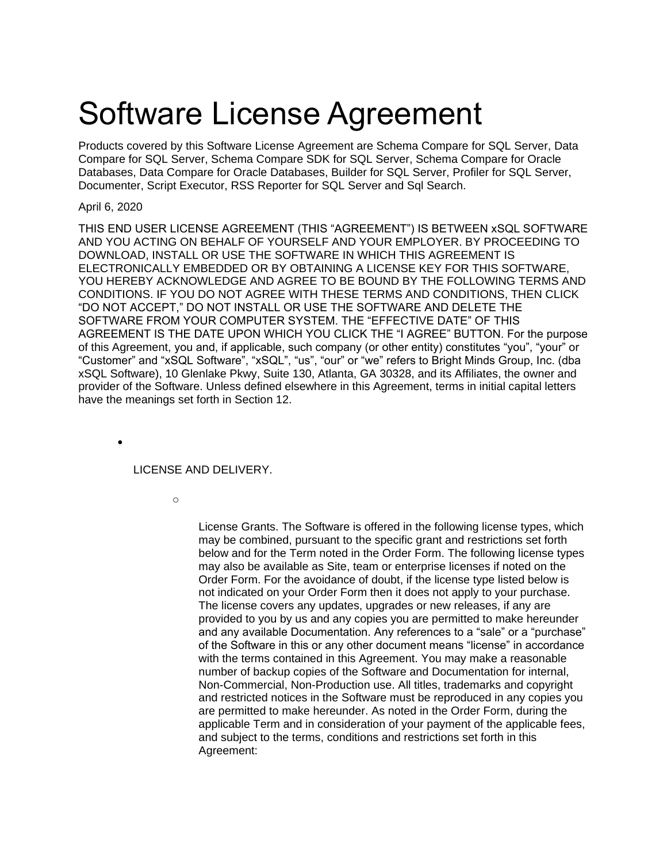# Software License Agreement

Products covered by this Software License Agreement are Schema Compare for SQL Server, Data Compare for SQL Server, Schema Compare SDK for SQL Server, Schema Compare for Oracle Databases, Data Compare for Oracle Databases, Builder for SQL Server, Profiler for SQL Server, Documenter, Script Executor, RSS Reporter for SQL Server and Sql Search.

## April 6, 2020

THIS END USER LICENSE AGREEMENT (THIS "AGREEMENT") IS BETWEEN xSQL SOFTWARE AND YOU ACTING ON BEHALF OF YOURSELF AND YOUR EMPLOYER. BY PROCEEDING TO DOWNLOAD, INSTALL OR USE THE SOFTWARE IN WHICH THIS AGREEMENT IS ELECTRONICALLY EMBEDDED OR BY OBTAINING A LICENSE KEY FOR THIS SOFTWARE, YOU HEREBY ACKNOWLEDGE AND AGREE TO BE BOUND BY THE FOLLOWING TERMS AND CONDITIONS. IF YOU DO NOT AGREE WITH THESE TERMS AND CONDITIONS, THEN CLICK "DO NOT ACCEPT," DO NOT INSTALL OR USE THE SOFTWARE AND DELETE THE SOFTWARE FROM YOUR COMPUTER SYSTEM. THE "EFFECTIVE DATE" OF THIS AGREEMENT IS THE DATE UPON WHICH YOU CLICK THE "I AGREE" BUTTON. For the purpose of this Agreement, you and, if applicable, such company (or other entity) constitutes "you", "your" or "Customer" and "xSQL Software", "xSQL", "us", "our" or "we" refers to Bright Minds Group, Inc. (dba xSQL Software), 10 Glenlake Pkwy, Suite 130, Atlanta, GA 30328, and its Affiliates, the owner and provider of the Software. Unless defined elsewhere in this Agreement, terms in initial capital letters have the meanings set forth in Section 12.

•

## LICENSE AND DELIVERY.

o

License Grants. The Software is offered in the following license types, which may be combined, pursuant to the specific grant and restrictions set forth below and for the Term noted in the Order Form. The following license types may also be available as Site, team or enterprise licenses if noted on the Order Form. For the avoidance of doubt, if the license type listed below is not indicated on your Order Form then it does not apply to your purchase. The license covers any updates, upgrades or new releases, if any are provided to you by us and any copies you are permitted to make hereunder and any available Documentation. Any references to a "sale" or a "purchase" of the Software in this or any other document means "license" in accordance with the terms contained in this Agreement. You may make a reasonable number of backup copies of the Software and Documentation for internal, Non-Commercial, Non-Production use. All titles, trademarks and copyright and restricted notices in the Software must be reproduced in any copies you are permitted to make hereunder. As noted in the Order Form, during the applicable Term and in consideration of your payment of the applicable fees, and subject to the terms, conditions and restrictions set forth in this Agreement: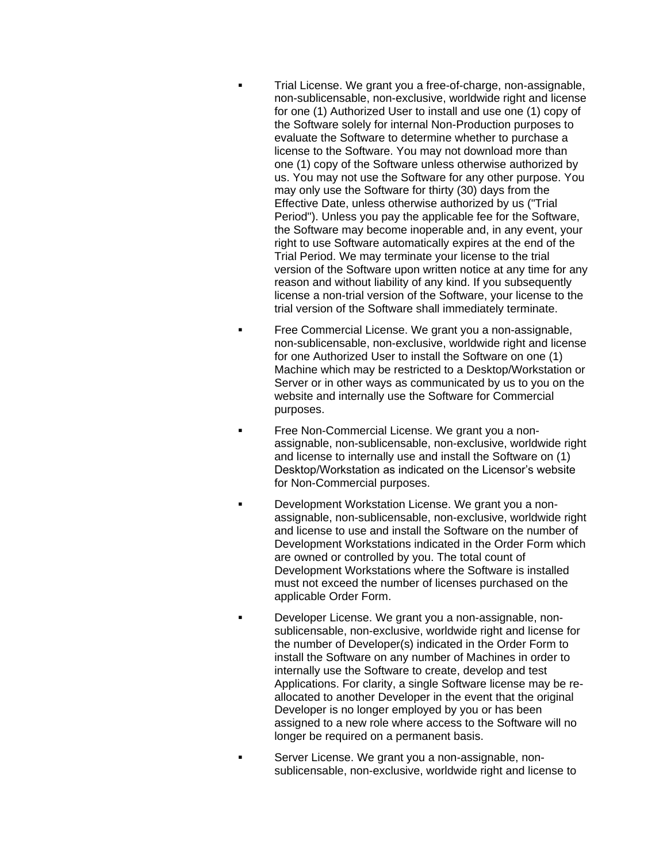- Trial License. We grant you a free-of-charge, non-assignable, non-sublicensable, non-exclusive, worldwide right and license for one (1) Authorized User to install and use one (1) copy of the Software solely for internal Non-Production purposes to evaluate the Software to determine whether to purchase a license to the Software. You may not download more than one (1) copy of the Software unless otherwise authorized by us. You may not use the Software for any other purpose. You may only use the Software for thirty (30) days from the Effective Date, unless otherwise authorized by us ("Trial Period"). Unless you pay the applicable fee for the Software, the Software may become inoperable and, in any event, your right to use Software automatically expires at the end of the Trial Period. We may terminate your license to the trial version of the Software upon written notice at any time for any reason and without liability of any kind. If you subsequently license a non-trial version of the Software, your license to the trial version of the Software shall immediately terminate.
- **EXECOMMERGERY EXAMPLE IS EXAMPLE THE COMMERGE LIGENSE.** We grant you a non-assignable, non-sublicensable, non-exclusive, worldwide right and license for one Authorized User to install the Software on one (1) Machine which may be restricted to a Desktop/Workstation or Server or in other ways as communicated by us to you on the website and internally use the Software for Commercial purposes.
- **Example 20 Free Non-Commercial License. We grant you a non**assignable, non-sublicensable, non-exclusive, worldwide right and license to internally use and install the Software on (1) Desktop/Workstation as indicated on the Licensor's website for Non-Commercial purposes.
- **Development Workstation License. We grant you a non**assignable, non-sublicensable, non-exclusive, worldwide right and license to use and install the Software on the number of Development Workstations indicated in the Order Form which are owned or controlled by you. The total count of Development Workstations where the Software is installed must not exceed the number of licenses purchased on the applicable Order Form.
- **EXECT** Developer License. We grant you a non-assignable, nonsublicensable, non-exclusive, worldwide right and license for the number of Developer(s) indicated in the Order Form to install the Software on any number of Machines in order to internally use the Software to create, develop and test Applications. For clarity, a single Software license may be reallocated to another Developer in the event that the original Developer is no longer employed by you or has been assigned to a new role where access to the Software will no longer be required on a permanent basis.
- Server License. We grant you a non-assignable, nonsublicensable, non-exclusive, worldwide right and license to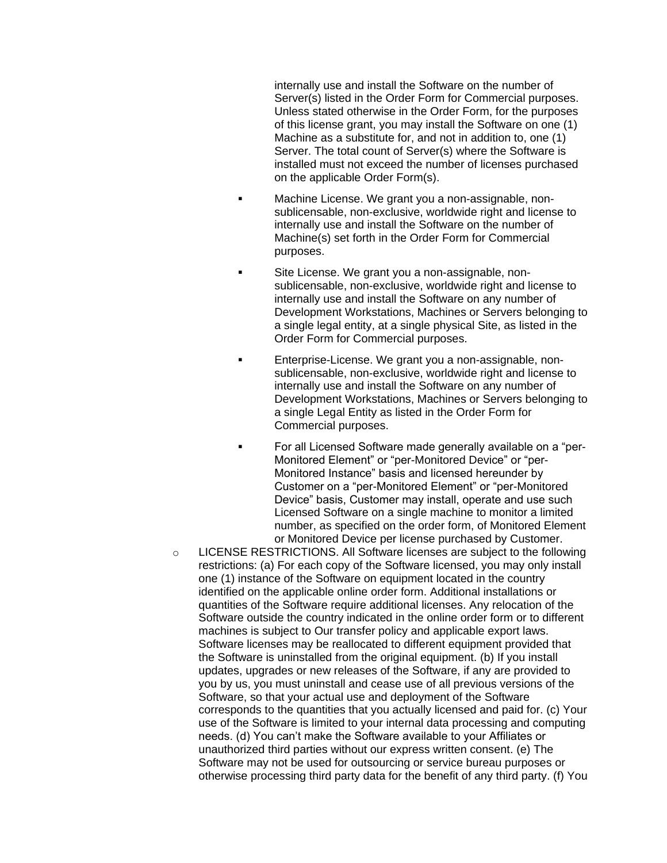internally use and install the Software on the number of Server(s) listed in the Order Form for Commercial purposes. Unless stated otherwise in the Order Form, for the purposes of this license grant, you may install the Software on one (1) Machine as a substitute for, and not in addition to, one (1) Server. The total count of Server(s) where the Software is installed must not exceed the number of licenses purchased on the applicable Order Form(s).

- Machine License. We grant you a non-assignable, nonsublicensable, non-exclusive, worldwide right and license to internally use and install the Software on the number of Machine(s) set forth in the Order Form for Commercial purposes.
- Site License. We grant you a non-assignable, nonsublicensable, non-exclusive, worldwide right and license to internally use and install the Software on any number of Development Workstations, Machines or Servers belonging to a single legal entity, at a single physical Site, as listed in the Order Form for Commercial purposes.
- Enterprise-License. We grant you a non-assignable, nonsublicensable, non-exclusive, worldwide right and license to internally use and install the Software on any number of Development Workstations, Machines or Servers belonging to a single Legal Entity as listed in the Order Form for Commercial purposes.
- For all Licensed Software made generally available on a "per-Monitored Element" or "per-Monitored Device" or "per-Monitored Instance" basis and licensed hereunder by Customer on a "per-Monitored Element" or "per-Monitored Device" basis, Customer may install, operate and use such Licensed Software on a single machine to monitor a limited number, as specified on the order form, of Monitored Element or Monitored Device per license purchased by Customer.
- o LICENSE RESTRICTIONS. All Software licenses are subject to the following restrictions: (a) For each copy of the Software licensed, you may only install one (1) instance of the Software on equipment located in the country identified on the applicable online order form. Additional installations or quantities of the Software require additional licenses. Any relocation of the Software outside the country indicated in the online order form or to different machines is subject to Our transfer policy and applicable export laws. Software licenses may be reallocated to different equipment provided that the Software is uninstalled from the original equipment. (b) If you install updates, upgrades or new releases of the Software, if any are provided to you by us, you must uninstall and cease use of all previous versions of the Software, so that your actual use and deployment of the Software corresponds to the quantities that you actually licensed and paid for. (c) Your use of the Software is limited to your internal data processing and computing needs. (d) You can't make the Software available to your Affiliates or unauthorized third parties without our express written consent. (e) The Software may not be used for outsourcing or service bureau purposes or otherwise processing third party data for the benefit of any third party. (f) You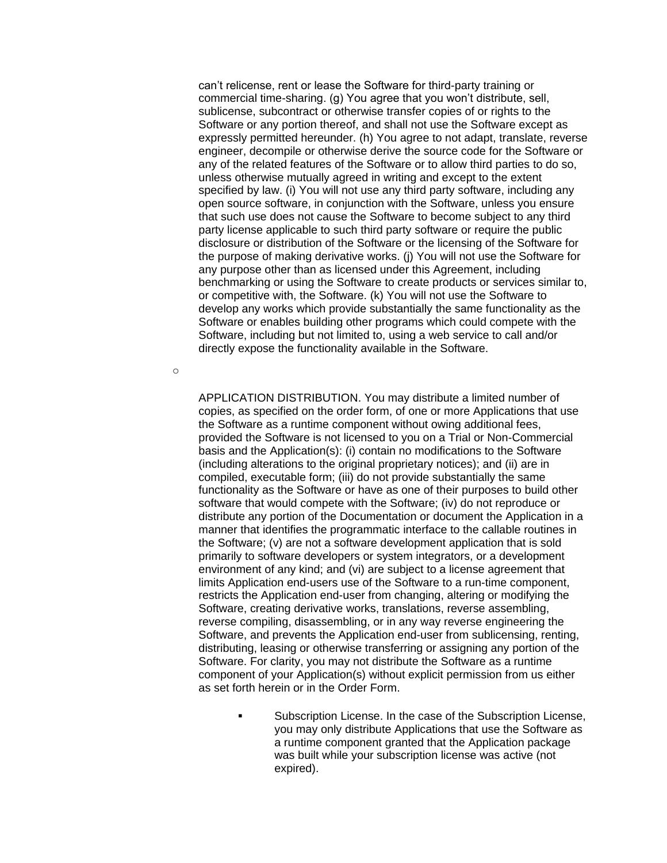can't relicense, rent or lease the Software for third-party training or commercial time-sharing. (g) You agree that you won't distribute, sell, sublicense, subcontract or otherwise transfer copies of or rights to the Software or any portion thereof, and shall not use the Software except as expressly permitted hereunder. (h) You agree to not adapt, translate, reverse engineer, decompile or otherwise derive the source code for the Software or any of the related features of the Software or to allow third parties to do so, unless otherwise mutually agreed in writing and except to the extent specified by law. (i) You will not use any third party software, including any open source software, in conjunction with the Software, unless you ensure that such use does not cause the Software to become subject to any third party license applicable to such third party software or require the public disclosure or distribution of the Software or the licensing of the Software for the purpose of making derivative works. (j) You will not use the Software for any purpose other than as licensed under this Agreement, including benchmarking or using the Software to create products or services similar to, or competitive with, the Software. (k) You will not use the Software to develop any works which provide substantially the same functionality as the Software or enables building other programs which could compete with the Software, including but not limited to, using a web service to call and/or directly expose the functionality available in the Software.

o

APPLICATION DISTRIBUTION. You may distribute a limited number of copies, as specified on the order form, of one or more Applications that use the Software as a runtime component without owing additional fees, provided the Software is not licensed to you on a Trial or Non-Commercial basis and the Application(s): (i) contain no modifications to the Software (including alterations to the original proprietary notices); and (ii) are in compiled, executable form; (iii) do not provide substantially the same functionality as the Software or have as one of their purposes to build other software that would compete with the Software; (iv) do not reproduce or distribute any portion of the Documentation or document the Application in a manner that identifies the programmatic interface to the callable routines in the Software; (v) are not a software development application that is sold primarily to software developers or system integrators, or a development environment of any kind; and (vi) are subject to a license agreement that limits Application end-users use of the Software to a run-time component, restricts the Application end-user from changing, altering or modifying the Software, creating derivative works, translations, reverse assembling, reverse compiling, disassembling, or in any way reverse engineering the Software, and prevents the Application end-user from sublicensing, renting, distributing, leasing or otherwise transferring or assigning any portion of the Software. For clarity, you may not distribute the Software as a runtime component of your Application(s) without explicit permission from us either as set forth herein or in the Order Form.

> Subscription License. In the case of the Subscription License, you may only distribute Applications that use the Software as a runtime component granted that the Application package was built while your subscription license was active (not expired).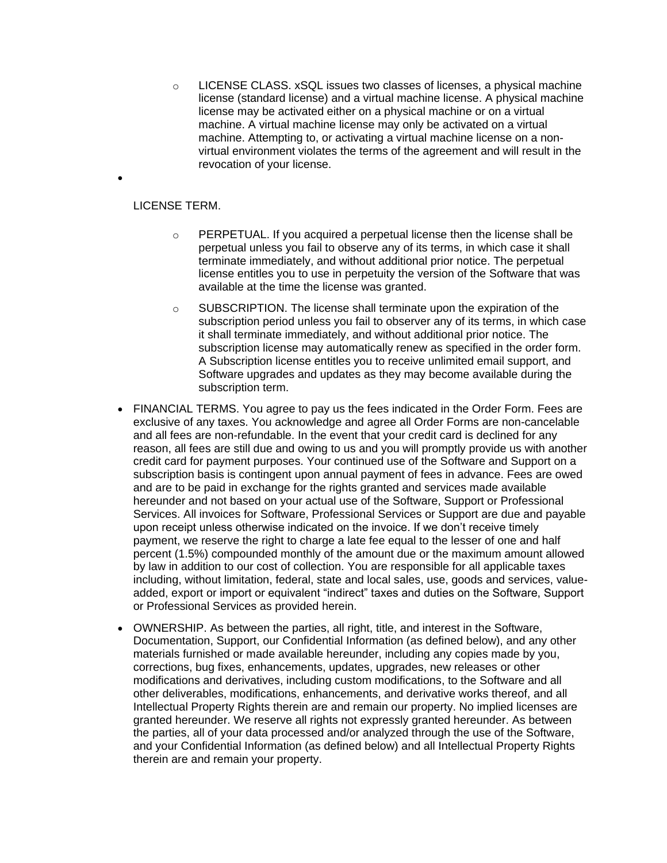$\circ$  LICENSE CLASS. xSQL issues two classes of licenses, a physical machine license (standard license) and a virtual machine license. A physical machine license may be activated either on a physical machine or on a virtual machine. A virtual machine license may only be activated on a virtual machine. Attempting to, or activating a virtual machine license on a nonvirtual environment violates the terms of the agreement and will result in the revocation of your license.

#### LICENSE TERM.

•

- $\circ$  PERPETUAL. If you acquired a perpetual license then the license shall be perpetual unless you fail to observe any of its terms, in which case it shall terminate immediately, and without additional prior notice. The perpetual license entitles you to use in perpetuity the version of the Software that was available at the time the license was granted.
- $\circ$  SUBSCRIPTION. The license shall terminate upon the expiration of the subscription period unless you fail to observer any of its terms, in which case it shall terminate immediately, and without additional prior notice. The subscription license may automatically renew as specified in the order form. A Subscription license entitles you to receive unlimited email support, and Software upgrades and updates as they may become available during the subscription term.
- FINANCIAL TERMS. You agree to pay us the fees indicated in the Order Form. Fees are exclusive of any taxes. You acknowledge and agree all Order Forms are non-cancelable and all fees are non-refundable. In the event that your credit card is declined for any reason, all fees are still due and owing to us and you will promptly provide us with another credit card for payment purposes. Your continued use of the Software and Support on a subscription basis is contingent upon annual payment of fees in advance. Fees are owed and are to be paid in exchange for the rights granted and services made available hereunder and not based on your actual use of the Software, Support or Professional Services. All invoices for Software, Professional Services or Support are due and payable upon receipt unless otherwise indicated on the invoice. If we don't receive timely payment, we reserve the right to charge a late fee equal to the lesser of one and half percent (1.5%) compounded monthly of the amount due or the maximum amount allowed by law in addition to our cost of collection. You are responsible for all applicable taxes including, without limitation, federal, state and local sales, use, goods and services, valueadded, export or import or equivalent "indirect" taxes and duties on the Software, Support or Professional Services as provided herein.
- OWNERSHIP. As between the parties, all right, title, and interest in the Software, Documentation, Support, our Confidential Information (as defined below), and any other materials furnished or made available hereunder, including any copies made by you, corrections, bug fixes, enhancements, updates, upgrades, new releases or other modifications and derivatives, including custom modifications, to the Software and all other deliverables, modifications, enhancements, and derivative works thereof, and all Intellectual Property Rights therein are and remain our property. No implied licenses are granted hereunder. We reserve all rights not expressly granted hereunder. As between the parties, all of your data processed and/or analyzed through the use of the Software, and your Confidential Information (as defined below) and all Intellectual Property Rights therein are and remain your property.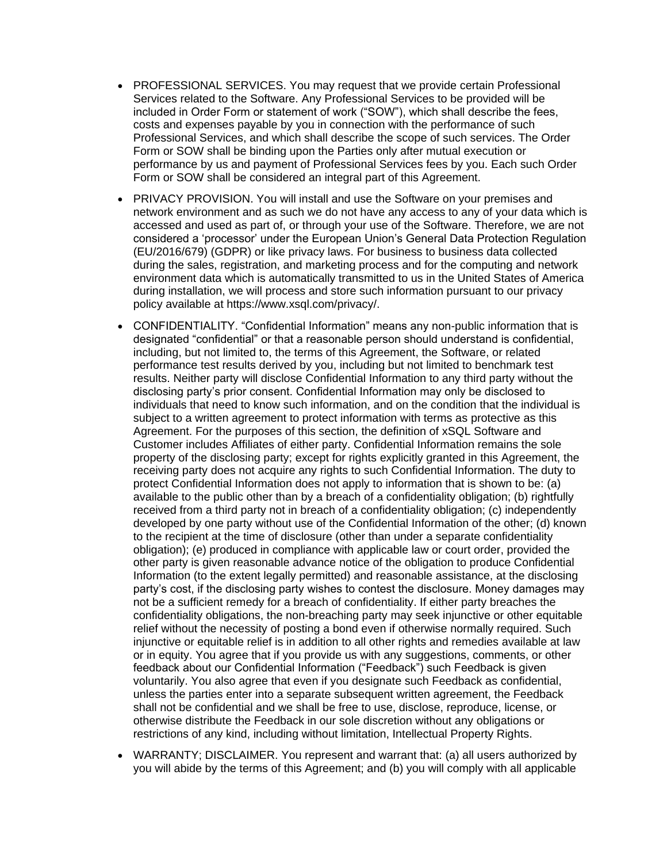- PROFESSIONAL SERVICES. You may request that we provide certain Professional Services related to the Software. Any Professional Services to be provided will be included in Order Form or statement of work ("SOW"), which shall describe the fees, costs and expenses payable by you in connection with the performance of such Professional Services, and which shall describe the scope of such services. The Order Form or SOW shall be binding upon the Parties only after mutual execution or performance by us and payment of Professional Services fees by you. Each such Order Form or SOW shall be considered an integral part of this Agreement.
- PRIVACY PROVISION. You will install and use the Software on your premises and network environment and as such we do not have any access to any of your data which is accessed and used as part of, or through your use of the Software. Therefore, we are not considered a 'processor' under the European Union's General Data Protection Regulation (EU/2016/679) (GDPR) or like privacy laws. For business to business data collected during the sales, registration, and marketing process and for the computing and network environment data which is automatically transmitted to us in the United States of America during installation, we will process and store such information pursuant to our privacy policy available at https://www.xsql.com/privacy/.
- CONFIDENTIALITY. "Confidential Information" means any non-public information that is designated "confidential" or that a reasonable person should understand is confidential, including, but not limited to, the terms of this Agreement, the Software, or related performance test results derived by you, including but not limited to benchmark test results. Neither party will disclose Confidential Information to any third party without the disclosing party's prior consent. Confidential Information may only be disclosed to individuals that need to know such information, and on the condition that the individual is subject to a written agreement to protect information with terms as protective as this Agreement. For the purposes of this section, the definition of xSQL Software and Customer includes Affiliates of either party. Confidential Information remains the sole property of the disclosing party; except for rights explicitly granted in this Agreement, the receiving party does not acquire any rights to such Confidential Information. The duty to protect Confidential Information does not apply to information that is shown to be: (a) available to the public other than by a breach of a confidentiality obligation; (b) rightfully received from a third party not in breach of a confidentiality obligation; (c) independently developed by one party without use of the Confidential Information of the other; (d) known to the recipient at the time of disclosure (other than under a separate confidentiality obligation); (e) produced in compliance with applicable law or court order, provided the other party is given reasonable advance notice of the obligation to produce Confidential Information (to the extent legally permitted) and reasonable assistance, at the disclosing party's cost, if the disclosing party wishes to contest the disclosure. Money damages may not be a sufficient remedy for a breach of confidentiality. If either party breaches the confidentiality obligations, the non-breaching party may seek injunctive or other equitable relief without the necessity of posting a bond even if otherwise normally required. Such injunctive or equitable relief is in addition to all other rights and remedies available at law or in equity. You agree that if you provide us with any suggestions, comments, or other feedback about our Confidential Information ("Feedback") such Feedback is given voluntarily. You also agree that even if you designate such Feedback as confidential, unless the parties enter into a separate subsequent written agreement, the Feedback shall not be confidential and we shall be free to use, disclose, reproduce, license, or otherwise distribute the Feedback in our sole discretion without any obligations or restrictions of any kind, including without limitation, Intellectual Property Rights.
- WARRANTY; DISCLAIMER. You represent and warrant that: (a) all users authorized by you will abide by the terms of this Agreement; and (b) you will comply with all applicable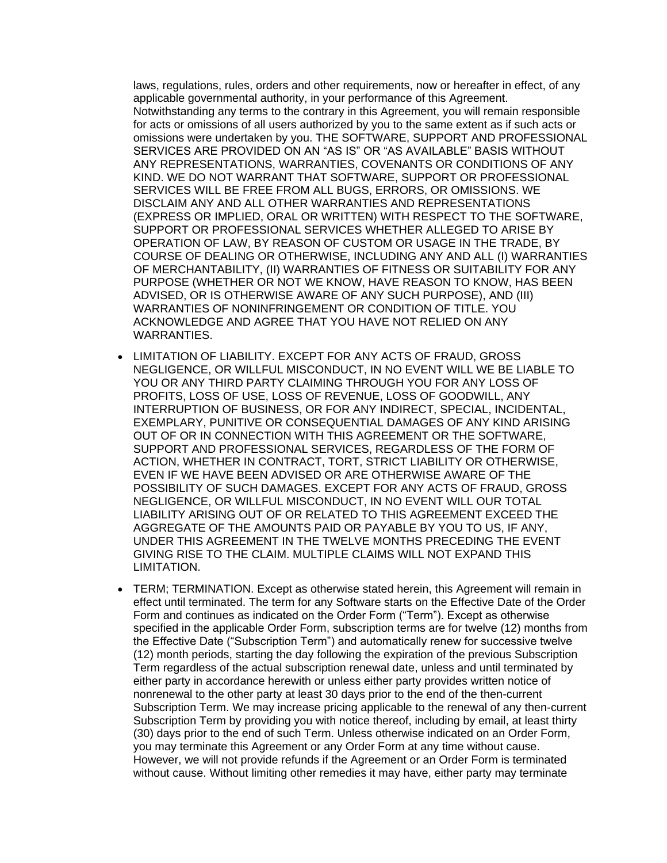laws, regulations, rules, orders and other requirements, now or hereafter in effect, of any applicable governmental authority, in your performance of this Agreement. Notwithstanding any terms to the contrary in this Agreement, you will remain responsible for acts or omissions of all users authorized by you to the same extent as if such acts or omissions were undertaken by you. THE SOFTWARE, SUPPORT AND PROFESSIONAL SERVICES ARE PROVIDED ON AN "AS IS" OR "AS AVAILABLE" BASIS WITHOUT ANY REPRESENTATIONS, WARRANTIES, COVENANTS OR CONDITIONS OF ANY KIND. WE DO NOT WARRANT THAT SOFTWARE, SUPPORT OR PROFESSIONAL SERVICES WILL BE FREE FROM ALL BUGS, ERRORS, OR OMISSIONS. WE DISCLAIM ANY AND ALL OTHER WARRANTIES AND REPRESENTATIONS (EXPRESS OR IMPLIED, ORAL OR WRITTEN) WITH RESPECT TO THE SOFTWARE, SUPPORT OR PROFESSIONAL SERVICES WHETHER ALLEGED TO ARISE BY OPERATION OF LAW, BY REASON OF CUSTOM OR USAGE IN THE TRADE, BY COURSE OF DEALING OR OTHERWISE, INCLUDING ANY AND ALL (I) WARRANTIES OF MERCHANTABILITY, (II) WARRANTIES OF FITNESS OR SUITABILITY FOR ANY PURPOSE (WHETHER OR NOT WE KNOW, HAVE REASON TO KNOW, HAS BEEN ADVISED, OR IS OTHERWISE AWARE OF ANY SUCH PURPOSE), AND (III) WARRANTIES OF NONINFRINGEMENT OR CONDITION OF TITLE. YOU ACKNOWLEDGE AND AGREE THAT YOU HAVE NOT RELIED ON ANY WARRANTIES.

- LIMITATION OF LIABILITY. EXCEPT FOR ANY ACTS OF FRAUD, GROSS NEGLIGENCE, OR WILLFUL MISCONDUCT, IN NO EVENT WILL WE BE LIABLE TO YOU OR ANY THIRD PARTY CLAIMING THROUGH YOU FOR ANY LOSS OF PROFITS, LOSS OF USE, LOSS OF REVENUE, LOSS OF GOODWILL, ANY INTERRUPTION OF BUSINESS, OR FOR ANY INDIRECT, SPECIAL, INCIDENTAL, EXEMPLARY, PUNITIVE OR CONSEQUENTIAL DAMAGES OF ANY KIND ARISING OUT OF OR IN CONNECTION WITH THIS AGREEMENT OR THE SOFTWARE, SUPPORT AND PROFESSIONAL SERVICES, REGARDLESS OF THE FORM OF ACTION, WHETHER IN CONTRACT, TORT, STRICT LIABILITY OR OTHERWISE, EVEN IF WE HAVE BEEN ADVISED OR ARE OTHERWISE AWARE OF THE POSSIBILITY OF SUCH DAMAGES. EXCEPT FOR ANY ACTS OF FRAUD, GROSS NEGLIGENCE, OR WILLFUL MISCONDUCT, IN NO EVENT WILL OUR TOTAL LIABILITY ARISING OUT OF OR RELATED TO THIS AGREEMENT EXCEED THE AGGREGATE OF THE AMOUNTS PAID OR PAYABLE BY YOU TO US, IF ANY, UNDER THIS AGREEMENT IN THE TWELVE MONTHS PRECEDING THE EVENT GIVING RISE TO THE CLAIM. MULTIPLE CLAIMS WILL NOT EXPAND THIS LIMITATION.
- TERM; TERMINATION. Except as otherwise stated herein, this Agreement will remain in effect until terminated. The term for any Software starts on the Effective Date of the Order Form and continues as indicated on the Order Form ("Term"). Except as otherwise specified in the applicable Order Form, subscription terms are for twelve (12) months from the Effective Date ("Subscription Term") and automatically renew for successive twelve (12) month periods, starting the day following the expiration of the previous Subscription Term regardless of the actual subscription renewal date, unless and until terminated by either party in accordance herewith or unless either party provides written notice of nonrenewal to the other party at least 30 days prior to the end of the then-current Subscription Term. We may increase pricing applicable to the renewal of any then-current Subscription Term by providing you with notice thereof, including by email, at least thirty (30) days prior to the end of such Term. Unless otherwise indicated on an Order Form, you may terminate this Agreement or any Order Form at any time without cause. However, we will not provide refunds if the Agreement or an Order Form is terminated without cause. Without limiting other remedies it may have, either party may terminate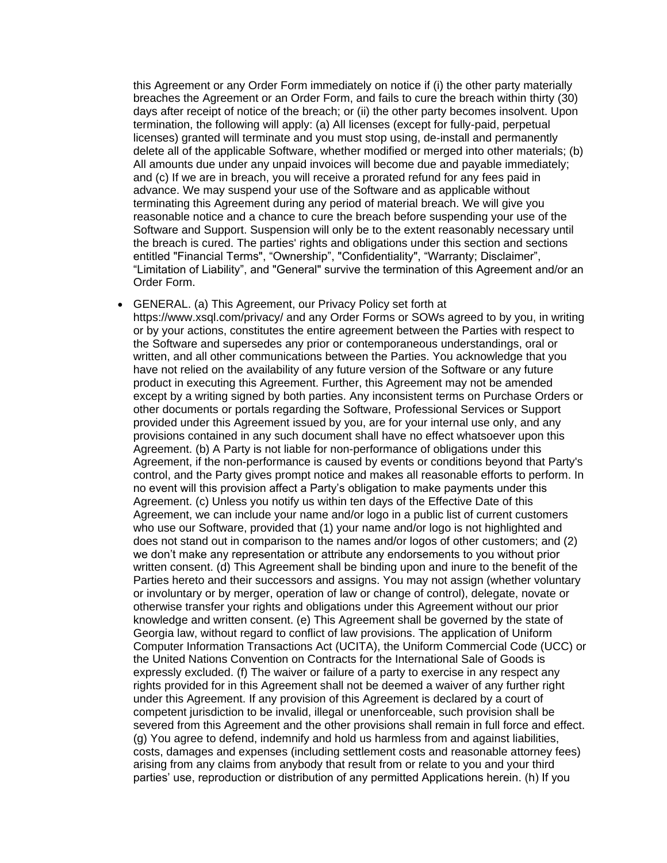this Agreement or any Order Form immediately on notice if (i) the other party materially breaches the Agreement or an Order Form, and fails to cure the breach within thirty (30) days after receipt of notice of the breach; or (ii) the other party becomes insolvent. Upon termination, the following will apply: (a) All licenses (except for fully-paid, perpetual licenses) granted will terminate and you must stop using, de-install and permanently delete all of the applicable Software, whether modified or merged into other materials; (b) All amounts due under any unpaid invoices will become due and payable immediately; and (c) If we are in breach, you will receive a prorated refund for any fees paid in advance. We may suspend your use of the Software and as applicable without terminating this Agreement during any period of material breach. We will give you reasonable notice and a chance to cure the breach before suspending your use of the Software and Support. Suspension will only be to the extent reasonably necessary until the breach is cured. The parties' rights and obligations under this section and sections entitled "Financial Terms", "Ownership", "Confidentiality", "Warranty; Disclaimer", "Limitation of Liability", and "General" survive the termination of this Agreement and/or an Order Form.

#### • GENERAL. (a) This Agreement, our Privacy Policy set forth at

https://www.xsql.com/privacy/ and any Order Forms or SOWs agreed to by you, in writing or by your actions, constitutes the entire agreement between the Parties with respect to the Software and supersedes any prior or contemporaneous understandings, oral or written, and all other communications between the Parties. You acknowledge that you have not relied on the availability of any future version of the Software or any future product in executing this Agreement. Further, this Agreement may not be amended except by a writing signed by both parties. Any inconsistent terms on Purchase Orders or other documents or portals regarding the Software, Professional Services or Support provided under this Agreement issued by you, are for your internal use only, and any provisions contained in any such document shall have no effect whatsoever upon this Agreement. (b) A Party is not liable for non-performance of obligations under this Agreement, if the non-performance is caused by events or conditions beyond that Party's control, and the Party gives prompt notice and makes all reasonable efforts to perform. In no event will this provision affect a Party's obligation to make payments under this Agreement. (c) Unless you notify us within ten days of the Effective Date of this Agreement, we can include your name and/or logo in a public list of current customers who use our Software, provided that (1) your name and/or logo is not highlighted and does not stand out in comparison to the names and/or logos of other customers; and (2) we don't make any representation or attribute any endorsements to you without prior written consent. (d) This Agreement shall be binding upon and inure to the benefit of the Parties hereto and their successors and assigns. You may not assign (whether voluntary or involuntary or by merger, operation of law or change of control), delegate, novate or otherwise transfer your rights and obligations under this Agreement without our prior knowledge and written consent. (e) This Agreement shall be governed by the state of Georgia law, without regard to conflict of law provisions. The application of Uniform Computer Information Transactions Act (UCITA), the Uniform Commercial Code (UCC) or the United Nations Convention on Contracts for the International Sale of Goods is expressly excluded. (f) The waiver or failure of a party to exercise in any respect any rights provided for in this Agreement shall not be deemed a waiver of any further right under this Agreement. If any provision of this Agreement is declared by a court of competent jurisdiction to be invalid, illegal or unenforceable, such provision shall be severed from this Agreement and the other provisions shall remain in full force and effect. (g) You agree to defend, indemnify and hold us harmless from and against liabilities, costs, damages and expenses (including settlement costs and reasonable attorney fees) arising from any claims from anybody that result from or relate to you and your third parties' use, reproduction or distribution of any permitted Applications herein. (h) If you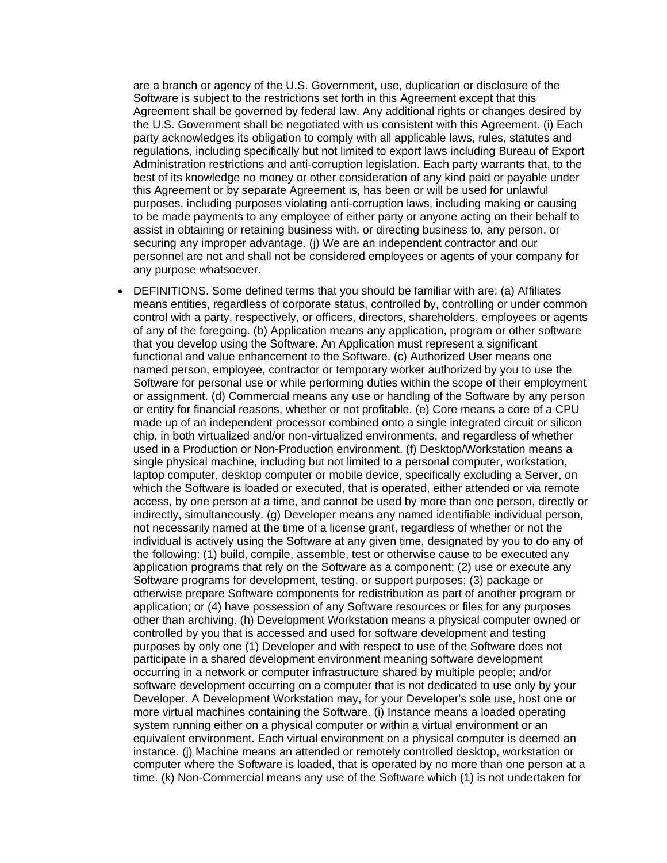are a branch or agency of the U.S. Government, use, duplication or disclosure of the Software is subject to the restrictions set forth in this Agreement except that this Agreement shall be governed by federal law. Any additional rights or changes desired by the U.S. Government shall be negotiated with us consistent with this Agreement. (i) Each party acknowledges its obligation to comply with all applicable laws, rules, statutes and regulations, including specifically but not limited to export laws including Bureau of Export Administration restrictions and anti-corruption legislation. Each party warrants that, to the best of its knowledge no money or other consideration of any kind paid or payable under this Agreement or by separate Agreement is, has been or will be used for unlawful purposes, including purposes violating anti-corruption laws, including making or causing to be made payments to any employee of either party or anyone acting on their behalf to assist in obtaining or retaining business with, or directing business to, any person, or securing any improper advantage. (j) We are an independent contractor and our personnel are not and shall not be considered employees or agents of your company for any purpose whatsoever.

• DEFINITIONS. Some defined terms that you should be familiar with are: (a) Affiliates means entities, regardless of corporate status, controlled by, controlling or under common control with a party, respectively, or officers, directors, shareholders, employees or agents of any of the foregoing. (b) Application means any application, program or other software that you develop using the Software. An Application must represent a significant functional and value enhancement to the Software. (c) Authorized User means one named person, employee, contractor or temporary worker authorized by you to use the Software for personal use or while performing duties within the scope of their employment or assignment. (d) Commercial means any use or handling of the Software by any person or entity for financial reasons, whether or not profitable. (e) Core means a core of a CPU made up of an independent processor combined onto a single integrated circuit or silicon chip, in both virtualized and/or non-virtualized environments, and regardless of whether used in a Production or Non-Production environment. (f) Desktop/Workstation means a single physical machine, including but not limited to a personal computer, workstation, laptop computer, desktop computer or mobile device, specifically excluding a Server, on which the Software is loaded or executed, that is operated, either attended or via remote access, by one person at a time, and cannot be used by more than one person, directly or indirectly, simultaneously. (g) Developer means any named identifiable individual person, not necessarily named at the time of a license grant, regardless of whether or not the individual is actively using the Software at any given time, designated by you to do any of the following: (1) build, compile, assemble, test or otherwise cause to be executed any application programs that rely on the Software as a component; (2) use or execute any Software programs for development, testing, or support purposes; (3) package or otherwise prepare Software components for redistribution as part of another program or application; or (4) have possession of any Software resources or files for any purposes other than archiving. (h) Development Workstation means a physical computer owned or controlled by you that is accessed and used for software development and testing purposes by only one (1) Developer and with respect to use of the Software does not participate in a shared development environment meaning software development occurring in a network or computer infrastructure shared by multiple people; and/or software development occurring on a computer that is not dedicated to use only by your Developer. A Development Workstation may, for your Developer's sole use, host one or more virtual machines containing the Software. (i) Instance means a loaded operating system running either on a physical computer or within a virtual environment or an equivalent environment. Each virtual environment on a physical computer is deemed an instance. (j) Machine means an attended or remotely controlled desktop, workstation or computer where the Software is loaded, that is operated by no more than one person at a time. (k) Non-Commercial means any use of the Software which (1) is not undertaken for